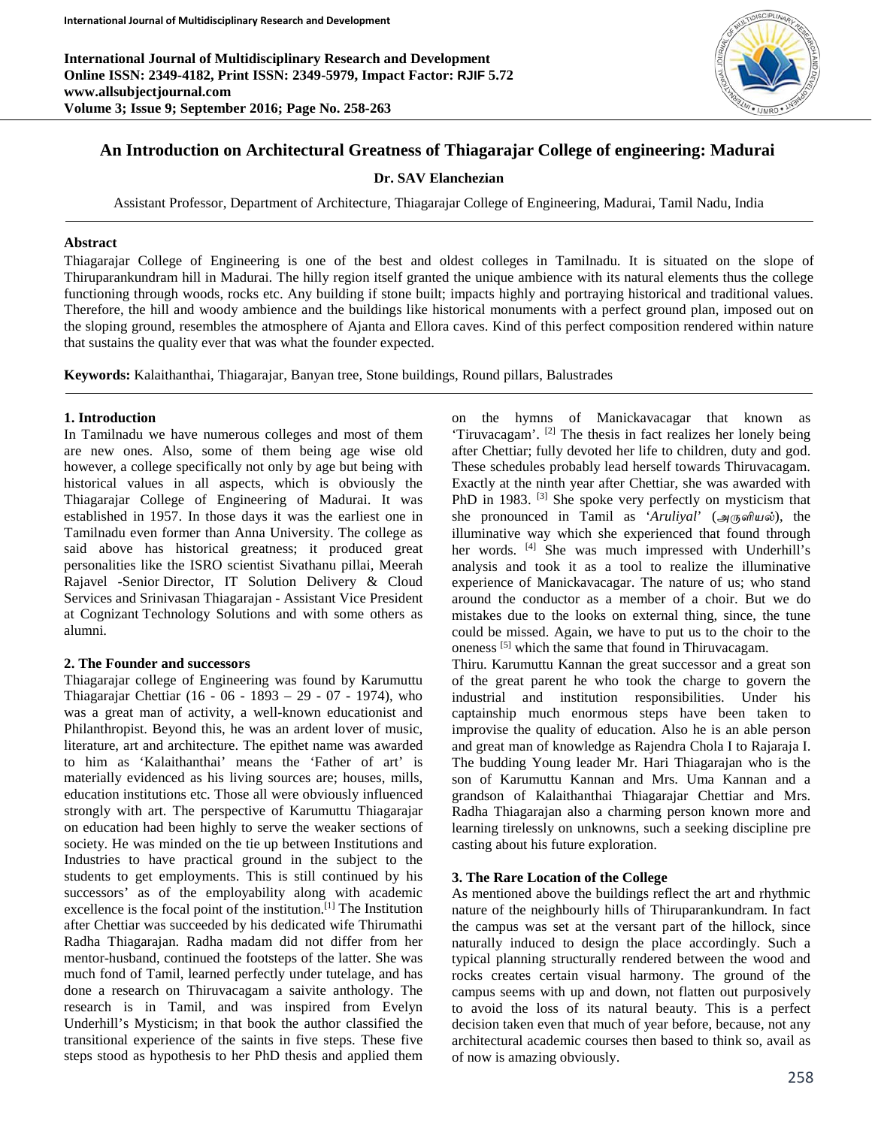**International Journal of Multidisciplinary Research and Development Online ISSN: 2349-4182, Print ISSN: 2349-5979, Impact Factor: RJIF 5.72 www.allsubjectjournal.com Volume 3; Issue 9; September 2016; Page No. 258-263**



# **An Introduction on Architectural Greatness of Thiagarajar College of engineering: Madurai**

### **Dr. SAV Elanchezian**

Assistant Professor, Department of Architecture, Thiagarajar College of Engineering, Madurai, Tamil Nadu, India

#### **Abstract**

Thiagarajar College of Engineering is one of the best and oldest colleges in Tamilnadu. It is situated on the slope of Thiruparankundram hill in Madurai. The hilly region itself granted the unique ambience with its natural elements thus the college functioning through woods, rocks etc. Any building if stone built; impacts highly and portraying historical and traditional values. Therefore, the hill and woody ambience and the buildings like historical monuments with a perfect ground plan, imposed out on the sloping ground, resembles the atmosphere of Ajanta and Ellora caves. Kind of this perfect composition rendered within nature that sustains the quality ever that was what the founder expected.

**Keywords:** Kalaithanthai, Thiagarajar, Banyan tree, Stone buildings, Round pillars, Balustrades

#### **1. Introduction**

In Tamilnadu we have numerous colleges and most of them are new ones. Also, some of them being age wise old however, a college specifically not only by age but being with historical values in all aspects, which is obviously the Thiagarajar College of Engineering of Madurai. It was established in 1957. In those days it was the earliest one in Tamilnadu even former than Anna University. The college as said above has historical greatness; it produced great personalities like the ISRO scientist Sivathanu pillai, Meerah Rajavel -Senior Director, IT Solution Delivery & Cloud Services and Srinivasan Thiagarajan - Assistant Vice President at Cognizant Technology Solutions and with some others as alumni.

#### **2. The Founder and successors**

Thiagarajar college of Engineering was found by Karumuttu Thiagarajar Chettiar (16 - 06 - 1893 – 29 - 07 - 1974), who was a great man of activity, a well-known educationist and Philanthropist. Beyond this, he was an ardent lover of music, literature, art and architecture. The epithet name was awarded to him as 'Kalaithanthai' means the 'Father of art' is materially evidenced as his living sources are; houses, mills, education institutions etc. Those all were obviously influenced strongly with art. The perspective of Karumuttu Thiagarajar on education had been highly to serve the weaker sections of society. He was minded on the tie up between Institutions and Industries to have practical ground in the subject to the students to get employments. This is still continued by his successors' as of the employability along with academic excellence is the focal point of the institution.<sup>[1]</sup> The Institution after Chettiar was succeeded by his dedicated wife Thirumathi Radha Thiagarajan. Radha madam did not differ from her mentor-husband, continued the footsteps of the latter. She was much fond of Tamil, learned perfectly under tutelage, and has done a research on Thiruvacagam a saivite anthology. The research is in Tamil, and was inspired from Evelyn Underhill's Mysticism; in that book the author classified the transitional experience of the saints in five steps. These five steps stood as hypothesis to her PhD thesis and applied them

on the hymns of Manickavacagar that known as 'Tiruvacagam'. [2] The thesis in fact realizes her lonely being after Chettiar; fully devoted her life to children, duty and god. These schedules probably lead herself towards Thiruvacagam. Exactly at the ninth year after Chettiar, she was awarded with PhD in 1983. <sup>[3]</sup> She spoke very perfectly on mysticism that she pronounced in Tamil as '*Aruliyal*' (*அருளியல்*), the illuminative way which she experienced that found through her words. <sup>[4]</sup> She was much impressed with Underhill's analysis and took it as a tool to realize the illuminative experience of Manickavacagar. The nature of us; who stand around the conductor as a member of a choir. But we do mistakes due to the looks on external thing, since, the tune could be missed. Again, we have to put us to the choir to the oneness [5] which the same that found in Thiruvacagam.

Thiru. Karumuttu Kannan the great successor and a great son of the great parent he who took the charge to govern the industrial and institution responsibilities. Under his captainship much enormous steps have been taken to improvise the quality of education. Also he is an able person and great man of knowledge as Rajendra Chola I to Rajaraja I. The budding Young leader Mr. Hari Thiagarajan who is the son of Karumuttu Kannan and Mrs. Uma Kannan and a grandson of Kalaithanthai Thiagarajar Chettiar and Mrs. Radha Thiagarajan also a charming person known more and learning tirelessly on unknowns, such a seeking discipline pre casting about his future exploration.

#### **3. The Rare Location of the College**

As mentioned above the buildings reflect the art and rhythmic nature of the neighbourly hills of Thiruparankundram. In fact the campus was set at the versant part of the hillock, since naturally induced to design the place accordingly. Such a typical planning structurally rendered between the wood and rocks creates certain visual harmony. The ground of the campus seems with up and down, not flatten out purposively to avoid the loss of its natural beauty. This is a perfect decision taken even that much of year before, because, not any architectural academic courses then based to think so, avail as of now is amazing obviously.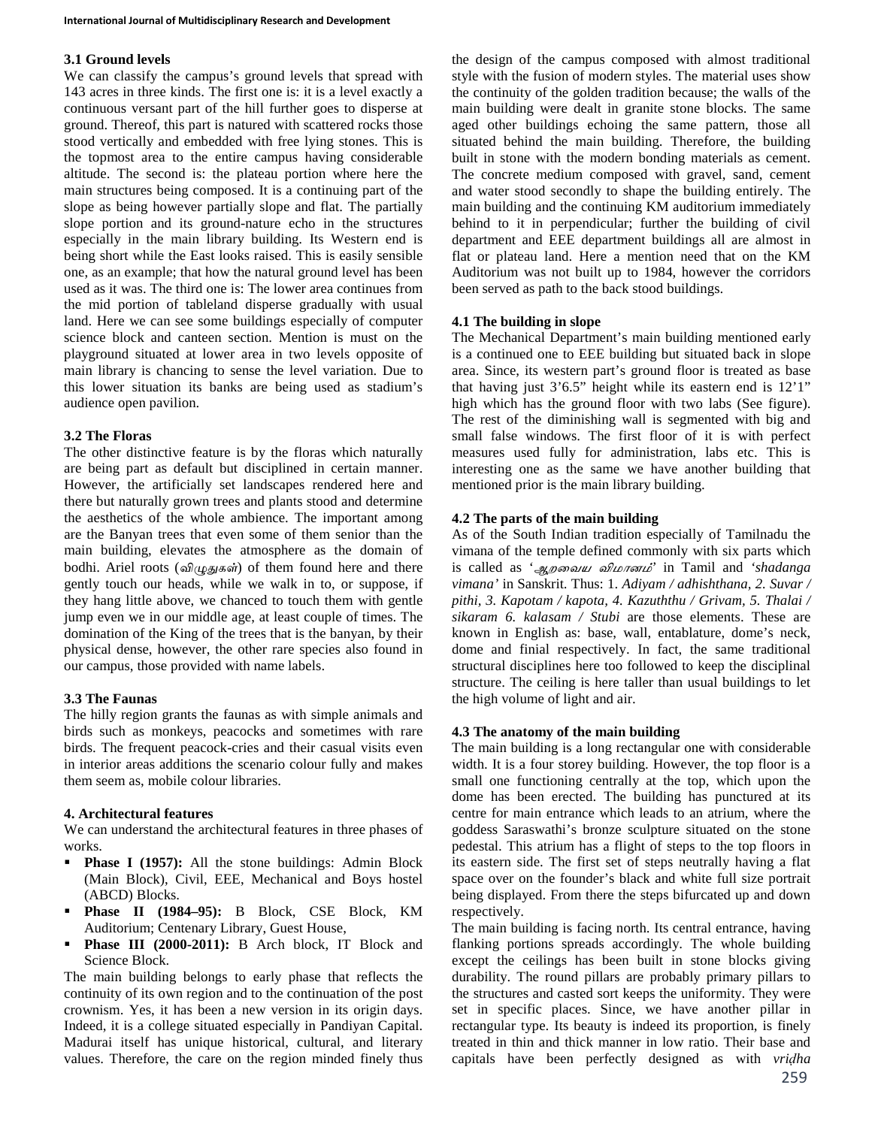## **3.1 Ground levels**

We can classify the campus's ground levels that spread with 143 acres in three kinds. The first one is: it is a level exactly a continuous versant part of the hill further goes to disperse at ground. Thereof, this part is natured with scattered rocks those stood vertically and embedded with free lying stones. This is the topmost area to the entire campus having considerable altitude. The second is: the plateau portion where here the main structures being composed. It is a continuing part of the slope as being however partially slope and flat. The partially slope portion and its ground-nature echo in the structures especially in the main library building. Its Western end is being short while the East looks raised. This is easily sensible one, as an example; that how the natural ground level has been used as it was. The third one is: The lower area continues from the mid portion of tableland disperse gradually with usual land. Here we can see some buildings especially of computer science block and canteen section. Mention is must on the playground situated at lower area in two levels opposite of main library is chancing to sense the level variation. Due to this lower situation its banks are being used as stadium's audience open pavilion.

## **3.2 The Floras**

The other distinctive feature is by the floras which naturally are being part as default but disciplined in certain manner. However, the artificially set landscapes rendered here and there but naturally grown trees and plants stood and determine the aesthetics of the whole ambience. The important among are the Banyan trees that even some of them senior than the main building, elevates the atmosphere as the domain of bodhi. Ariel roots (*விழுதுகள்*) of them found here and there gently touch our heads, while we walk in to, or suppose, if they hang little above, we chanced to touch them with gentle jump even we in our middle age, at least couple of times. The domination of the King of the trees that is the banyan, by their physical dense, however, the other rare species also found in our campus, those provided with name labels.

# **3.3 The Faunas**

The hilly region grants the faunas as with simple animals and birds such as monkeys, peacocks and sometimes with rare birds. The frequent peacock-cries and their casual visits even in interior areas additions the scenario colour fully and makes them seem as, mobile colour libraries.

# **4. Architectural features**

We can understand the architectural features in three phases of works.

- **Phase I (1957):** All the stone buildings: Admin Block (Main Block), Civil, EEE, Mechanical and Boys hostel (ABCD) Blocks.
- **Phase II (1984–95):** B Block, CSE Block, KM Auditorium; Centenary Library, Guest House,
- Phase III (2000-2011): B Arch block, IT Block and Science Block.

The main building belongs to early phase that reflects the continuity of its own region and to the continuation of the post crownism. Yes, it has been a new version in its origin days. Indeed, it is a college situated especially in Pandiyan Capital. Madurai itself has unique historical, cultural, and literary values. Therefore, the care on the region minded finely thus

the design of the campus composed with almost traditional style with the fusion of modern styles. The material uses show the continuity of the golden tradition because; the walls of the main building were dealt in granite stone blocks. The same aged other buildings echoing the same pattern, those all situated behind the main building. Therefore, the building built in stone with the modern bonding materials as cement. The concrete medium composed with gravel, sand, cement and water stood secondly to shape the building entirely. The main building and the continuing KM auditorium immediately behind to it in perpendicular; further the building of civil department and EEE department buildings all are almost in flat or plateau land. Here a mention need that on the KM Auditorium was not built up to 1984, however the corridors been served as path to the back stood buildings.

# **4.1 The building in slope**

The Mechanical Department's main building mentioned early is a continued one to EEE building but situated back in slope area. Since, its western part's ground floor is treated as base that having just 3'6.5" height while its eastern end is 12'1" high which has the ground floor with two labs (See figure). The rest of the diminishing wall is segmented with big and small false windows. The first floor of it is with perfect measures used fully for administration, labs etc. This is interesting one as the same we have another building that mentioned prior is the main library building.

## **4.2 The parts of the main building**

As of the South Indian tradition especially of Tamilnadu the vimana of the temple defined commonly with six parts which is called as '*ஆறைவய விமானம்'* in Tamil and *'shadanga vimana'* in Sanskrit. Thus: 1. *Adiyam / adhishthana, 2. Suvar / pithi, 3. Kapotam / kapota, 4. Kazuththu / Grivam, 5. Thalai / sikaram 6. kalasam / Stubi* are those elements. These are known in English as: base, wall, entablature, dome's neck, dome and finial respectively. In fact, the same traditional structural disciplines here too followed to keep the disciplinal structure. The ceiling is here taller than usual buildings to let the high volume of light and air.

# **4.3 The anatomy of the main building**

The main building is a long rectangular one with considerable width. It is a four storey building. However, the top floor is a small one functioning centrally at the top, which upon the dome has been erected. The building has punctured at its centre for main entrance which leads to an atrium, where the goddess Saraswathi's bronze sculpture situated on the stone pedestal. This atrium has a flight of steps to the top floors in its eastern side. The first set of steps neutrally having a flat space over on the founder's black and white full size portrait being displayed. From there the steps bifurcated up and down respectively.

The main building is facing north. Its central entrance, having flanking portions spreads accordingly. The whole building except the ceilings has been built in stone blocks giving durability. The round pillars are probably primary pillars to the structures and casted sort keeps the uniformity. They were set in specific places. Since, we have another pillar in rectangular type. Its beauty is indeed its proportion, is finely treated in thin and thick manner in low ratio. Their base and capitals have been perfectly designed as with *vriḍha*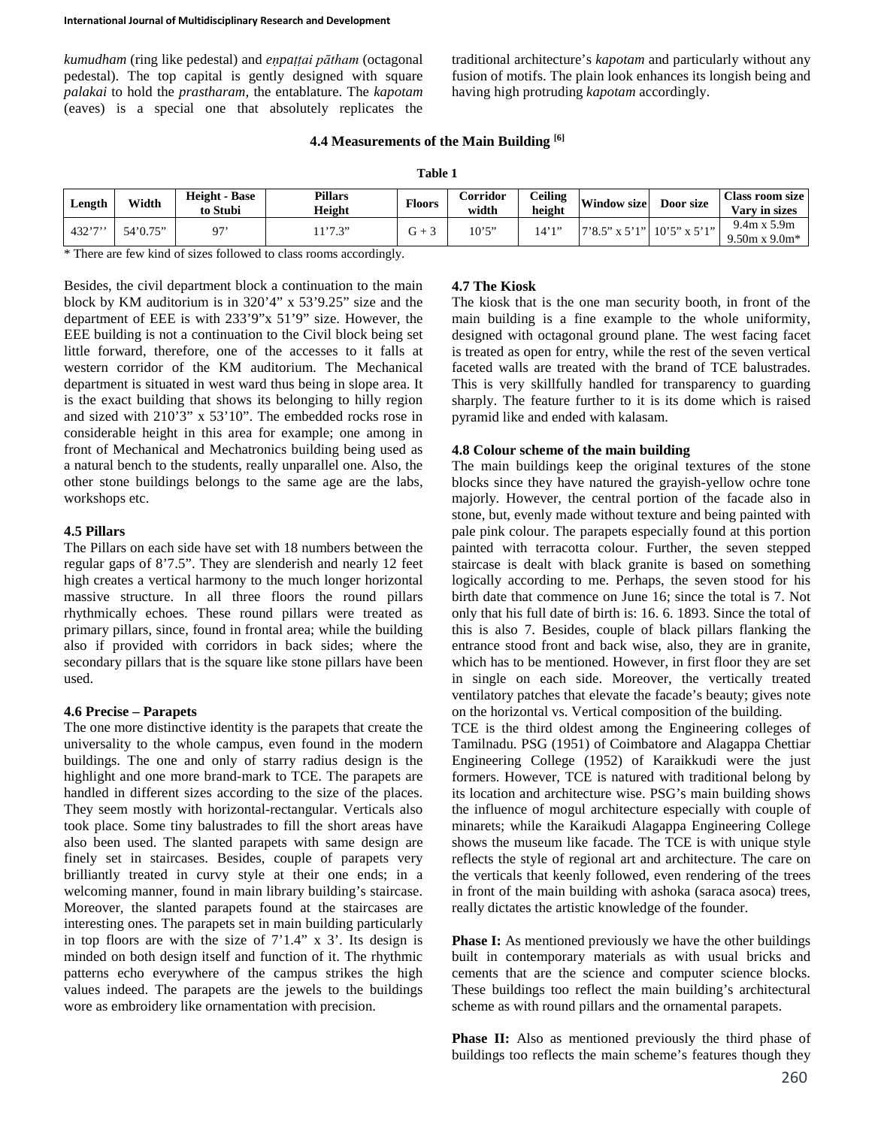*kumudham* (ring like pedestal) and *eṇpaṭṭai pātham* (octagonal pedestal). The top capital is gently designed with square *palakai* to hold the *prastharam,* the entablature. The *kapotam* (eaves) is a special one that absolutely replicates the traditional architecture's *kapotam* and particularly without any fusion of motifs. The plain look enhances its longish being and having high protruding *kapotam* accordingly.

### **4.4 Measurements of the Main Building [6]**

| able |
|------|
|------|

| Length | Width    | <b>Height - Base</b><br>to Stubi | <b>Pillars</b><br>Height | Floors | Corridor<br>width | Ceiling<br>height | <b>Window size</b>          | Door size | <b>Class room size</b><br>Vary in sizes     |
|--------|----------|----------------------------------|--------------------------|--------|-------------------|-------------------|-----------------------------|-----------|---------------------------------------------|
| 432'7' | 54'0.75" | 07'                              | 1'7.3"                   | G +    | 10'5''            | 14'1″             | 7'8.5" x 5'1"  10'5" x 5'1" |           | $9.4m \times 5.9m$<br>$9.50m \times 9.0m^*$ |

\* There are few kind of sizes followed to class rooms accordingly.

Besides, the civil department block a continuation to the main block by KM auditorium is in 320'4" x 53'9.25" size and the department of EEE is with 233'9"x 51'9" size. However, the EEE building is not a continuation to the Civil block being set little forward, therefore, one of the accesses to it falls at western corridor of the KM auditorium. The Mechanical department is situated in west ward thus being in slope area. It is the exact building that shows its belonging to hilly region and sized with 210'3" x 53'10". The embedded rocks rose in considerable height in this area for example; one among in front of Mechanical and Mechatronics building being used as a natural bench to the students, really unparallel one. Also, the other stone buildings belongs to the same age are the labs, workshops etc.

### **4.5 Pillars**

The Pillars on each side have set with 18 numbers between the regular gaps of 8'7.5". They are slenderish and nearly 12 feet high creates a vertical harmony to the much longer horizontal massive structure. In all three floors the round pillars rhythmically echoes. These round pillars were treated as primary pillars, since, found in frontal area; while the building also if provided with corridors in back sides; where the secondary pillars that is the square like stone pillars have been used.

#### **4.6 Precise – Parapets**

The one more distinctive identity is the parapets that create the universality to the whole campus, even found in the modern buildings. The one and only of starry radius design is the highlight and one more brand-mark to TCE. The parapets are handled in different sizes according to the size of the places. They seem mostly with horizontal-rectangular. Verticals also took place. Some tiny balustrades to fill the short areas have also been used. The slanted parapets with same design are finely set in staircases. Besides, couple of parapets very brilliantly treated in curvy style at their one ends; in a welcoming manner, found in main library building's staircase. Moreover, the slanted parapets found at the staircases are interesting ones. The parapets set in main building particularly in top floors are with the size of  $7'1.4''$  x 3'. Its design is minded on both design itself and function of it. The rhythmic patterns echo everywhere of the campus strikes the high values indeed. The parapets are the jewels to the buildings wore as embroidery like ornamentation with precision.

#### **4.7 The Kiosk**

The kiosk that is the one man security booth, in front of the main building is a fine example to the whole uniformity, designed with octagonal ground plane. The west facing facet is treated as open for entry, while the rest of the seven vertical faceted walls are treated with the brand of TCE balustrades. This is very skillfully handled for transparency to guarding sharply. The feature further to it is its dome which is raised pyramid like and ended with kalasam.

#### **4.8 Colour scheme of the main building**

The main buildings keep the original textures of the stone blocks since they have natured the grayish-yellow ochre tone majorly. However, the central portion of the facade also in stone, but, evenly made without texture and being painted with pale pink colour. The parapets especially found at this portion painted with terracotta colour. Further, the seven stepped staircase is dealt with black granite is based on something logically according to me. Perhaps, the seven stood for his birth date that commence on June 16; since the total is 7. Not only that his full date of birth is: 16. 6. 1893. Since the total of this is also 7. Besides, couple of black pillars flanking the entrance stood front and back wise, also, they are in granite, which has to be mentioned. However, in first floor they are set in single on each side. Moreover, the vertically treated ventilatory patches that elevate the facade's beauty; gives note on the horizontal vs. Vertical composition of the building.

TCE is the third oldest among the Engineering colleges of Tamilnadu. PSG (1951) of Coimbatore and Alagappa Chettiar Engineering College (1952) of Karaikkudi were the just formers. However, TCE is natured with traditional belong by its location and architecture wise. PSG's main building shows the influence of mogul architecture especially with couple of minarets; while the Karaikudi Alagappa Engineering College shows the museum like facade. The TCE is with unique style reflects the style of regional art and architecture. The care on the verticals that keenly followed, even rendering of the trees in front of the main building with ashoka (saraca asoca) trees, really dictates the artistic knowledge of the founder.

**Phase I:** As mentioned previously we have the other buildings built in contemporary materials as with usual bricks and cements that are the science and computer science blocks. These buildings too reflect the main building's architectural scheme as with round pillars and the ornamental parapets.

Phase II: Also as mentioned previously the third phase of buildings too reflects the main scheme's features though they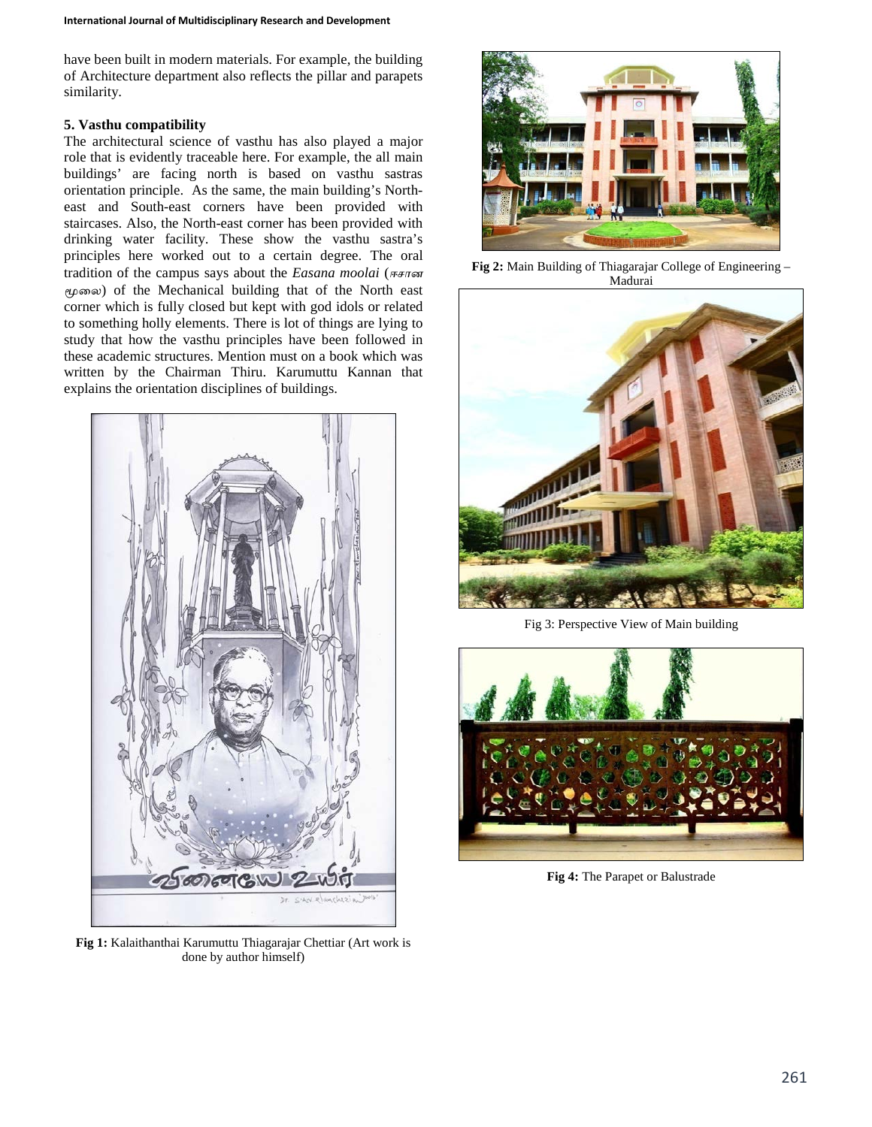have been built in modern materials. For example, the building of Architecture department also reflects the pillar and parapets similarity.

# **5. Vasthu compatibility**

The architectural science of vasthu has also played a major role that is evidently traceable here. For example, the all main buildings' are facing north is based on vasthu sastras orientation principle. As the same, the main building's Northeast and South-east corners have been provided with staircases. Also, the North-east corner has been provided with drinking water facility. These show the vasthu sastra's principles here worked out to a certain degree. The oral tradition of the campus says about the *Easana moolai* (*ஈசான மூைல*) of the Mechanical building that of the North east corner which is fully closed but kept with god idols or related to something holly elements. There is lot of things are lying to study that how the vasthu principles have been followed in these academic structures. Mention must on a book which was written by the Chairman Thiru. Karumuttu Kannan that explains the orientation disciplines of buildings.



**Fig 1:** Kalaithanthai Karumuttu Thiagarajar Chettiar (Art work is done by author himself)



**Fig 2:** Main Building of Thiagarajar College of Engineering – Madurai



Fig 3: Perspective View of Main building



**Fig 4:** The Parapet or Balustrade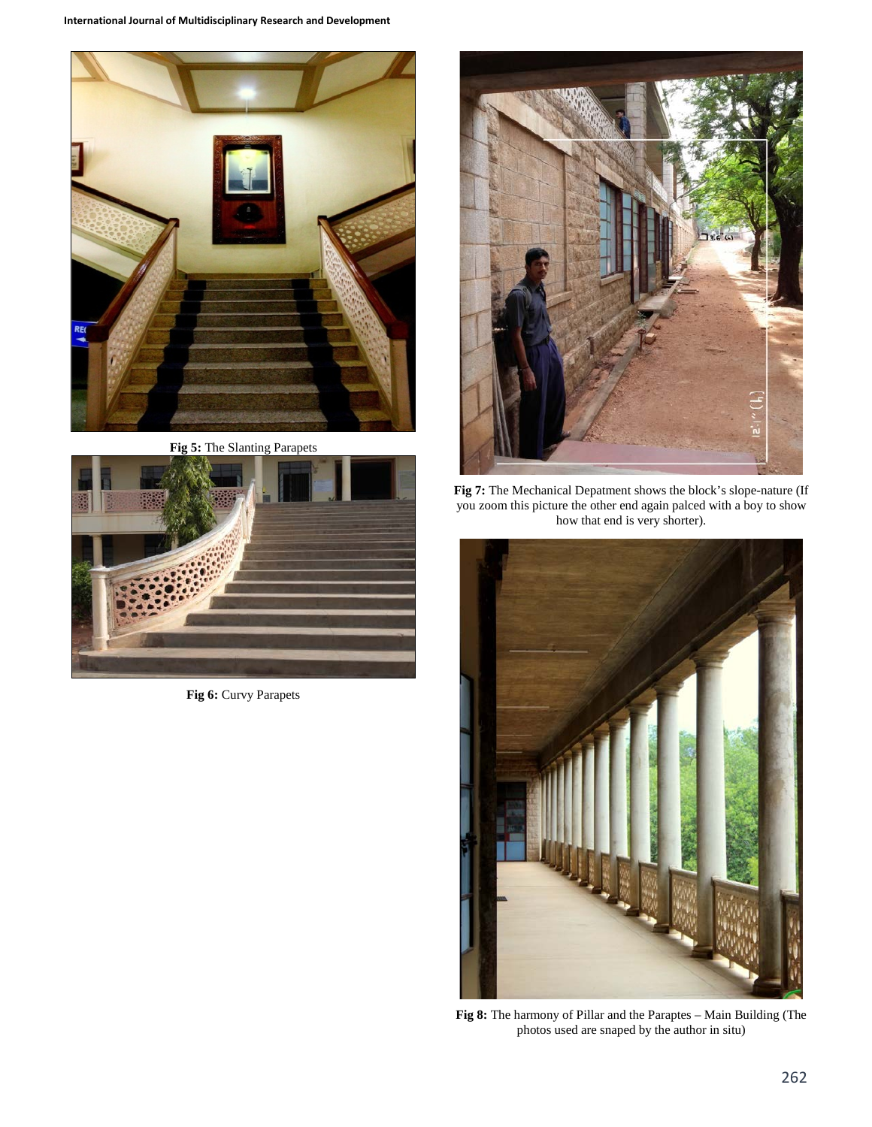

**Fig 5:** The Slanting Parapets



**Fig 6:** Curvy Parapets



**Fig 7:** The Mechanical Depatment shows the block's slope-nature (If you zoom this picture the other end again palced with a boy to show how that end is very shorter).



**Fig 8:** The harmony of Pillar and the Paraptes – Main Building (The photos used are snaped by the author in situ)